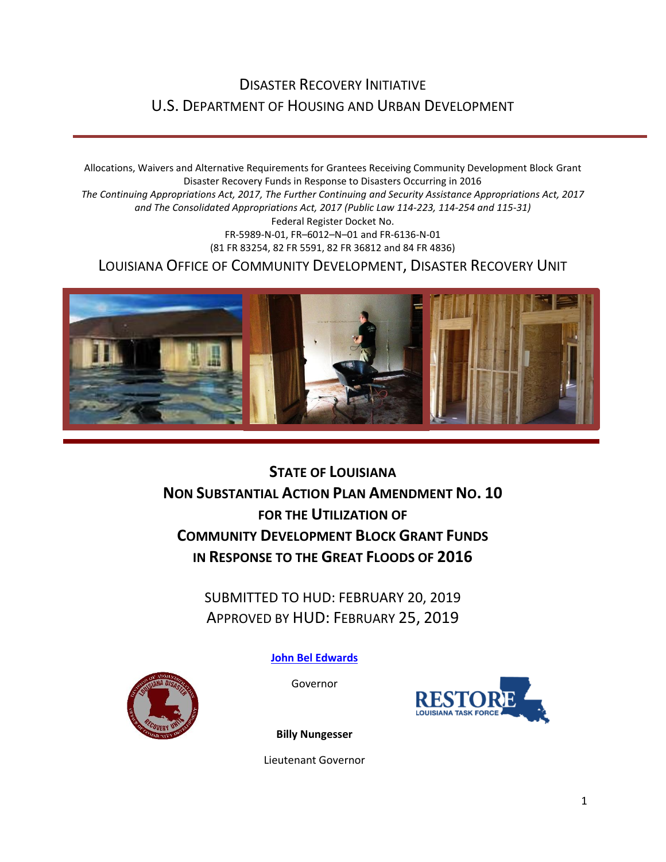### DISASTER RECOVERY INITIATIVE U.S. DEPARTMENT OF HOUSING AND URBAN DEVELOPMENT

Allocations, Waivers and Alternative Requirements for Grantees Receiving Community Development Block Grant Disaster Recovery Funds in Response to Disasters Occurring in 2016 *The Continuing Appropriations Act, 2017, The Further Continuing and Security Assistance Appropriations Act, 2017 and The Consolidated Appropriations Act, 2017 (Public Law 114-223, 114-254 and 115-31)* Federal Register Docket No. FR-5989-N-01, FR–6012–N–01 and FR-6136-N-01 (81 FR 83254, 82 FR 5591, 82 FR 36812 and 84 FR 4836) LOUISIANA OFFICE OF COMMUNITY DEVELOPMENT, DISASTER RECOVERY UNIT



**STATE OF LOUISIANA NON SUBSTANTIAL ACTION PLAN AMENDMENT NO. 10 FOR THE UTILIZATION OF COMMUNITY DEVELOPMENT BLOCK GRANT FUNDS IN RESPONSE TO THE GREAT FLOODS OF 2016**

> SUBMITTED TO HUD: FEBRUARY 20, 2019 APPROVED BY HUD: FEBRUARY 25, 2019

> > **[John Bel Edwards](https://www.facebook.com/LouisianaGov/)**

Governor



**Billy Nungesser**

Lieutenant Governor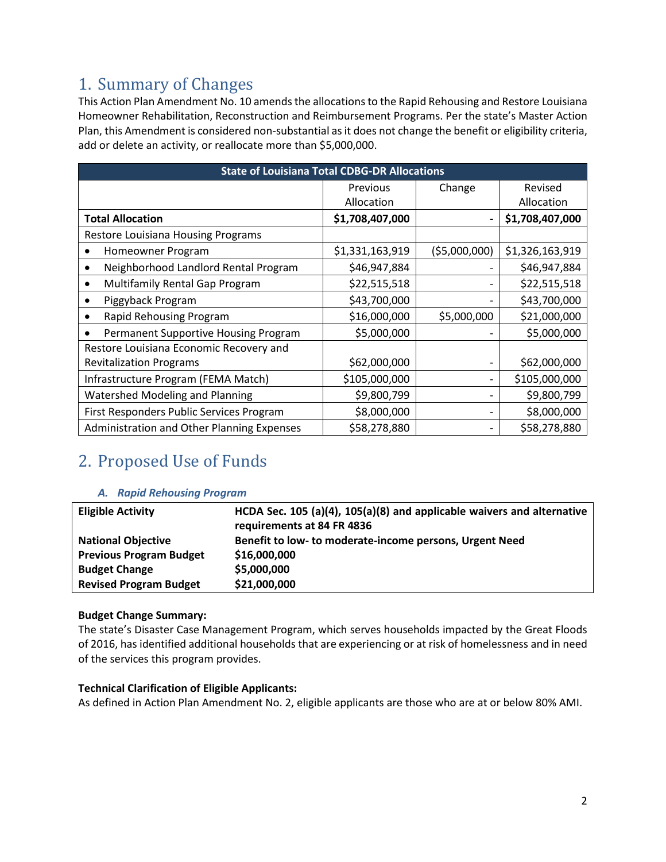## 1. Summary of Changes

This Action Plan Amendment No. 10 amends the allocations to the Rapid Rehousing and Restore Louisiana Homeowner Rehabilitation, Reconstruction and Reimbursement Programs. Per the state's Master Action Plan, this Amendment is considered non-substantial as it does not change the benefit or eligibility criteria, add or delete an activity, or reallocate more than \$5,000,000.

| <b>State of Louisiana Total CDBG-DR Allocations</b> |                 |                |                 |
|-----------------------------------------------------|-----------------|----------------|-----------------|
|                                                     | Previous        | Change         | Revised         |
|                                                     | Allocation      |                | Allocation      |
| <b>Total Allocation</b>                             | \$1,708,407,000 |                | \$1,708,407,000 |
| Restore Louisiana Housing Programs                  |                 |                |                 |
| Homeowner Program<br>٠                              | \$1,331,163,919 | ( \$5,000,000) | \$1,326,163,919 |
| Neighborhood Landlord Rental Program                | \$46,947,884    |                | \$46,947,884    |
| Multifamily Rental Gap Program<br>٠                 | \$22,515,518    |                | \$22,515,518    |
| Piggyback Program                                   | \$43,700,000    |                | \$43,700,000    |
| Rapid Rehousing Program                             | \$16,000,000    | \$5,000,000    | \$21,000,000    |
| Permanent Supportive Housing Program                | \$5,000,000     |                | \$5,000,000     |
| Restore Louisiana Economic Recovery and             |                 |                |                 |
| <b>Revitalization Programs</b>                      | \$62,000,000    |                | \$62,000,000    |
| Infrastructure Program (FEMA Match)                 | \$105,000,000   |                | \$105,000,000   |
| Watershed Modeling and Planning                     | \$9,800,799     |                | \$9,800,799     |
| First Responders Public Services Program            | \$8,000,000     |                | \$8,000,000     |
| Administration and Other Planning Expenses          | \$58,278,880    |                | \$58,278,880    |

## 2. Proposed Use of Funds

#### *A. Rapid Rehousing Program*

| <b>Eligible Activity</b>       | HCDA Sec. 105 (a)(4), 105(a)(8) and applicable waivers and alternative<br>requirements at 84 FR 4836 |
|--------------------------------|------------------------------------------------------------------------------------------------------|
| <b>National Objective</b>      | Benefit to low- to moderate-income persons, Urgent Need                                              |
| <b>Previous Program Budget</b> | \$16,000,000                                                                                         |
| <b>Budget Change</b>           | \$5,000,000                                                                                          |
| <b>Revised Program Budget</b>  | \$21,000,000                                                                                         |

#### **Budget Change Summary:**

The state's Disaster Case Management Program, which serves households impacted by the Great Floods of 2016, has identified additional households that are experiencing or at risk of homelessness and in need of the services this program provides.

#### **Technical Clarification of Eligible Applicants:**

As defined in Action Plan Amendment No. 2, eligible applicants are those who are at or below 80% AMI.